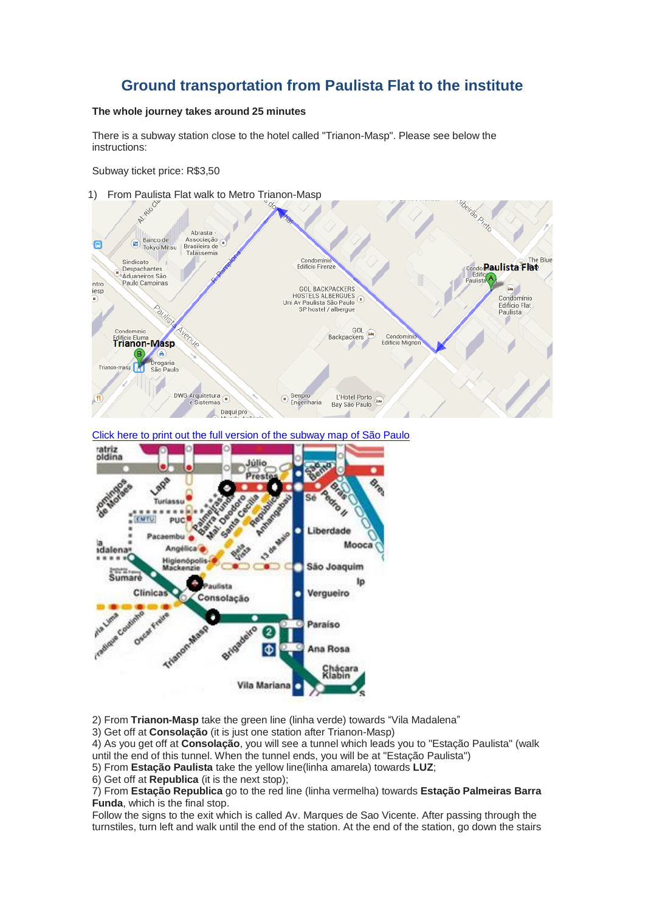## **Ground transportation from Paulista Flat to the institute**

## **The whole journey takes around 25 minutes**

There is a subway station close to the hotel called "Trianon-Masp". Please see below the instructions:

Subway ticket price: R\$3,50







2) From **Trianon-Masp** take the green line (linha verde) towards "Vila Madalena"

3) Get off at **Consolação** (it is just one station after Trianon-Masp)

4) As you get off at **Consolação**, you will see a tunnel which leads you to "Estação Paulista" (walk until the end of this tunnel. When the tunnel ends, you will be at "Estação Paulista")

5) From **Estação Paulista** take the yellow line(linha amarela) towards **LUZ**;

6) Get off at **Republica** (it is the next stop);

7) From **Estação Republica** go to the red line (linha vermelha) towards **Estação Palmeiras Barra Funda**, which is the final stop.

Follow the signs to the exit which is called Av. Marques de Sao Vicente. After passing through the turnstiles, turn left and walk until the end of the station. At the end of the station, go down the stairs